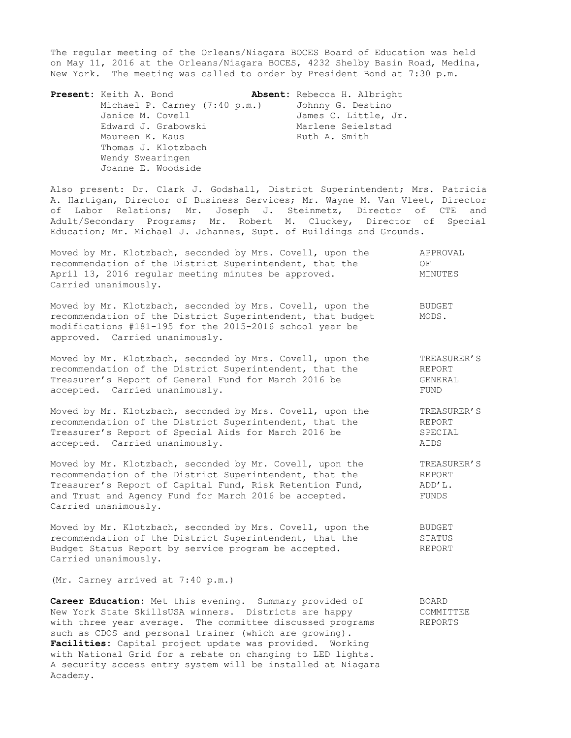The regular meeting of the Orleans/Niagara BOCES Board of Education was held on May 11, 2016 at the Orleans/Niagara BOCES, 4232 Shelby Basin Road, Medina, New York. The meeting was called to order by President Bond at 7:30 p.m.

**Present:** Keith A. Bond **Absent:** Rebecca H. Albright Michael P. Carney (7:40 p.m.)Johnny G. Destino Janice M. Covell **James C. Little, Jr.** Edward J. Grabowski Marlene Seielstad Maureen K. Kaus **Ruth A. Smith**  Thomas J. Klotzbach Wendy Swearingen Joanne E. Woodside

Also present: Dr. Clark J. Godshall, District Superintendent; Mrs. Patricia A. Hartigan, Director of Business Services; Mr. Wayne M. Van Vleet, Director of Labor Relations; Mr. Joseph J. Steinmetz, Director of CTE and Adult/Secondary Programs; Mr. Robert M. Cluckey, Director of Special Education; Mr. Michael J. Johannes, Supt. of Buildings and Grounds.

| Moved by Mr. Klotzbach, seconded by Mrs. Covell, upon the | APPROVAL |
|-----------------------------------------------------------|----------|
| recommendation of the District Superintendent, that the   | OF       |
| April 13, 2016 regular meeting minutes be approved.       | MINUTES  |
| Carried unanimously.                                      |          |

Moved by Mr. Klotzbach, seconded by Mrs. Covell, upon the BUDGET recommendation of the District Superintendent, that budget MODS. modifications #181-195 for the 2015-2016 school year be approved. Carried unanimously.

Moved by Mr. Klotzbach, seconded by Mrs. Covell, upon the TREASURER'S<br>recommendation of the District Superintendent, that the REPORT recommendation of the District Superintendent, that the Treasurer's Report of General Fund for March 2016 be GENERAL accepted. Carried unanimously. The contract of the second section of the second section of the second section of the second section of the second section of the second section of the second section of the second section of

Moved by Mr. Klotzbach, seconded by Mrs. Covell, upon the TREASURER'S recommendation of the District Superintendent, that the REPORT Treasurer's Report of Special Aids for March 2016 be SPECIAL accepted. Carried unanimously. AIDS

Moved by Mr. Klotzbach, seconded by Mr. Covell, upon the TREASURER'S recommendation of the District Superintendent, that the REPORT Treasurer's Report of Capital Fund, Risk Retention Fund,  $ADD'L$ . and Trust and Agency Fund for March 2016 be accepted. FUNDS Carried unanimously.

Moved by Mr. Klotzbach, seconded by Mrs. Covell, upon the BUDGET recommendation of the District Superintendent, that the STATUS Budget Status Report by service program be accepted. The REPORT Carried unanimously.

(Mr. Carney arrived at 7:40 p.m.)

**Career Education:** Met this evening. Summary provided of BOARD New York State SkillsUSA winners. Districts are happy COMMITTEE New rork state skillsusA winners. Districts are happy committent committee discussed programs REPORTS such as CDOS and personal trainer (which are growing). **Facilities:** Capital project update was provided. Working with National Grid for a rebate on changing to LED lights. A security access entry system will be installed at Niagara Academy.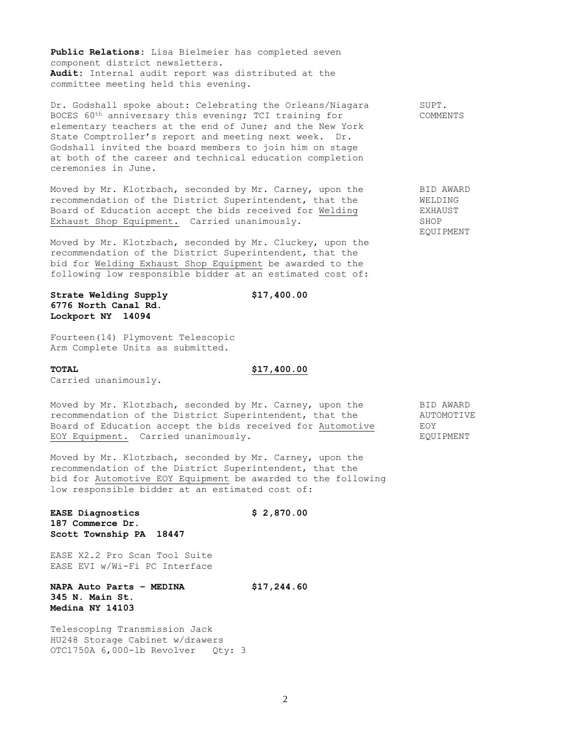**Public Relations:** Lisa Bielmeier has completed seven component district newsletters. **Audit:** Internal audit report was distributed at the committee meeting held this evening.

Dr. Godshall spoke about: Celebrating the Orleans/Niagara SUPT. BOCES 60<sup>th</sup> anniversary this evening; TCI training for TCOMMENTS elementary teachers at the end of June; and the New York State Comptroller's report and meeting next week. Dr. Godshall invited the board members to join him on stage at both of the career and technical education completion ceremonies in June.

Moved by Mr. Klotzbach, seconded by Mr. Carney, upon the BID AWARD recommendation of the District Superintendent, that the WELDING<br>Board of Education accept the bids received for Welding WEXHAUST Board of Education accept the bids received for Welding Exhaust Shop Equipment. Carried unanimously. The SHOP

Moved by Mr. Klotzbach, seconded by Mr. Cluckey, upon the recommendation of the District Superintendent, that the bid for Welding Exhaust Shop Equipment be awarded to the following low responsible bidder at an estimated cost of:

**Strate Welding Supply \$17,400.00 6776 North Canal Rd. Lockport NY 14094**

Fourteen(14) Plymovent Telescopic Arm Complete Units as submitted.

Carried unanimously.

# **TOTAL \$17,400.00**

Moved by Mr. Klotzbach, seconded by Mr. Carney, upon the BID AWARD recommendation of the District Superintendent, that the  $\overline{A}$  AUTOMOTIVE Board of Education accept the bids received for Automotive EOY EOY Equipment. Carried unanimously. The contract of the equipment

Moved by Mr. Klotzbach, seconded by Mr. Carney, upon the recommendation of the District Superintendent, that the bid for Automotive EOY Equipment be awarded to the following low responsible bidder at an estimated cost of:

**EASE Diagnostics \$ 2,870.00 187 Commerce Dr. Scott Township PA 18447**

EASE X2.2 Pro Scan Tool Suite EASE EVI w/Wi-Fi PC Interface

**NAPA Auto Parts – MEDINA \$17,244.60 345 N. Main St. Medina NY 14103**

Telescoping Transmission Jack HU248 Storage Cabinet w/drawers OTC1750A 6,000-lb Revolver Qty: 3

EQUIPMENT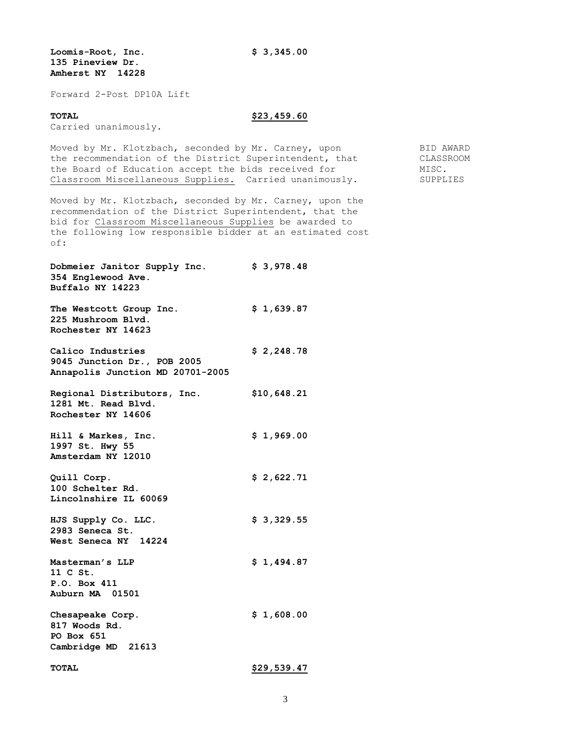**Loomis-Root, Inc. \$ 3,345.00 135 Pineview Dr. Amherst NY 14228**

Forward 2-Post DP10A Lift

# **TOTAL \$23,459.60**

Carried unanimously.

Moved by Mr. Klotzbach, seconded by Mr. Carney, upon BID AWARD the recommendation of the District Superintendent, that CLASSROOM the Board of Education accept the bids received for  $MISC$ . Classroom Miscellaneous Supplies. Carried unanimously. SUPPLIES

Moved by Mr. Klotzbach, seconded by Mr. Carney, upon the recommendation of the District Superintendent, that the bid for Classroom Miscellaneous Supplies be awarded to the following low responsible bidder at an estimated cost of:

**Dobmeier Janitor Supply Inc. \$ 3,978.48 354 Englewood Ave. Buffalo NY 14223 The Westcott Group Inc. \$ 1,639.87**

**225 Mushroom Blvd. Rochester NY 14623**

**Calico Industries \$ 2,248.78 9045 Junction Dr., POB 2005 Annapolis Junction MD 20701-2005**

**Regional Distributors, Inc. \$10,648.21 1281 Mt. Read Blvd. Rochester NY 14606**

**Hill & Markes, Inc. \$ 1,969.00 1997 St. Hwy 55 Amsterdam NY 12010**

**Quill Corp. \$ 2,622.71 100 Schelter Rd. Lincolnshire IL 60069**

**HJS Supply Co. LLC. \$ 3,329.55 2983 Seneca St. West Seneca NY 14224**

**Masterman's LLP \$ 1,494.87 11 C St. P.O. Box 411 Auburn MA 01501**

**Chesapeake Corp. \$ 1,608.00 817 Woods Rd. PO Box 651 Cambridge MD 21613**

**TOTAL \$29,539.47**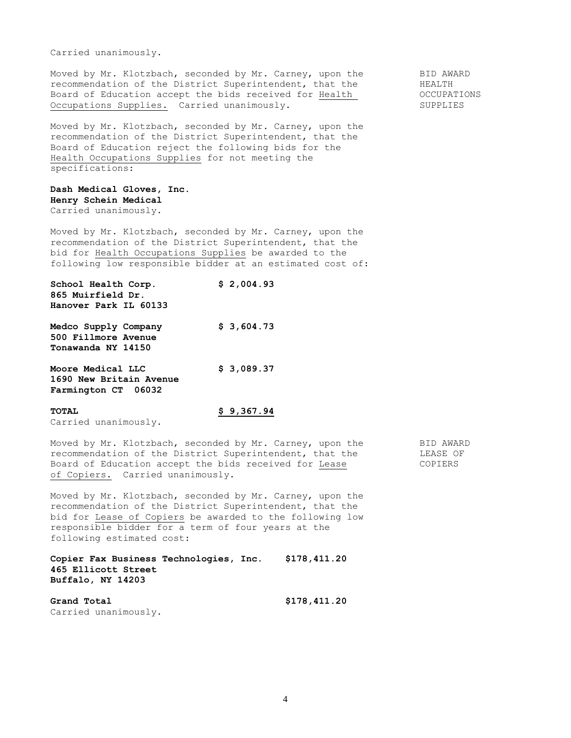Carried unanimously.

Moved by Mr. Klotzbach, seconded by Mr. Carney, upon the BID AWARD recommendation of the District Superintendent, that the BEALTH recommendation of the District Superintendent, that the HEALTH<br>Board of Education accept the bids received for Health (CCCUPATIONS Board of Education accept the bids received for Health Occupations Supplies. Carried unanimously. The SUPPLIES

Moved by Mr. Klotzbach, seconded by Mr. Carney, upon the recommendation of the District Superintendent, that the Board of Education reject the following bids for the Health Occupations Supplies for not meeting the specifications:

### **Dash Medical Gloves, Inc. Henry Schein Medical** Carried unanimously.

Moved by Mr. Klotzbach, seconded by Mr. Carney, upon the recommendation of the District Superintendent, that the bid for Health Occupations Supplies be awarded to the following low responsible bidder at an estimated cost of:

| School Health Corp.<br>865 Muirfield Dr.                            | \$2,004.93 |
|---------------------------------------------------------------------|------------|
| Hanover Park IL 60133                                               |            |
| Medco Supply Company<br>500 Fillmore Avenue<br>Tonawanda NY 14150   | \$3,604.73 |
| Moore Medical LLC<br>1690 New Britain Avenue<br>Farmington CT 06032 | \$3,089.37 |
| <b>TOTAL</b>                                                        | \$9,367.94 |

Carried unanimously.

Moved by Mr. Klotzbach, seconded by Mr. Carney, upon the BID AWARD<br>recommendation of the District Superintendent, that the BIEASE OF recommendation of the District Superintendent, that the Board of Education accept the bids received for Lease COPIERS of Copiers. Carried unanimously.

Moved by Mr. Klotzbach, seconded by Mr. Carney, upon the recommendation of the District Superintendent, that the bid for Lease of Copiers be awarded to the following low responsible bidder for a term of four years at the following estimated cost:

**Copier Fax Business Technologies, Inc. \$178,411.20 465 Ellicott Street Buffalo, NY 14203**

**Grand Total \$178,411.20** Carried unanimously.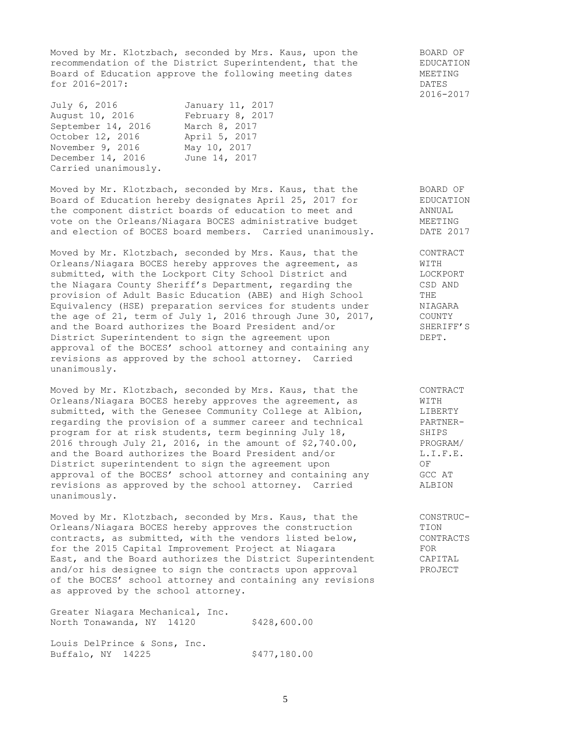Moved by Mr. Klotzbach, seconded by Mrs. Kaus, upon the BOARD OF recommendation of the District Superintendent, that the EDUCATION Board of Education approve the following meeting dates **MEETING** for 2016-2017: DATES

| July 6, 2016         | January 11, 2017 |
|----------------------|------------------|
| August 10, 2016      | February 8, 2017 |
| September 14, 2016   | March 8, 2017    |
| October 12, 2016     | April 5, 2017    |
| November 9, 2016     | May 10, 2017     |
| December 14, 2016    | June 14, 2017    |
| Carried unanimously. |                  |

Moved by Mr. Klotzbach, seconded by Mrs. Kaus, that the BOARD OF Board of Education hereby designates April 25, 2017 for FDUCATION the component district boards of education to meet and ANNUAL vote on the Orleans/Niagara BOCES administrative budget MEETING and election of BOCES board members. Carried unanimously. DATE 2017

Moved by Mr. Klotzbach, seconded by Mrs. Kaus, that the CONTRACT Orleans/Niagara BOCES hereby approves the agreement, as WITH submitted, with the Lockport City School District and MOCKPORT the Niagara County Sheriff's Department, regarding the CSD AND provision of Adult Basic Education (ABE) and High School THE Equivalency (HSE) preparation services for students under NIAGARA the age of 21, term of July 1, 2016 through June 30, 2017, COUNTY and the Board authorizes the Board President and/or SHERIFF'S District Superintendent to sign the agreement upon DEPT. approval of the BOCES' school attorney and containing any revisions as approved by the school attorney. Carried unanimously.

Moved by Mr. Klotzbach, seconded by Mrs. Kaus, that the CONTRACT Orleans/Niagara BOCES hereby approves the agreement, as WITH submitted, with the Genesee Community College at Albion,  $LIBERTY$ <br>regarding the provision of a summer career and technical PARTNERregarding the provision of a summer career and technical PARTNE<br>program for at risk students, term beginning July 18, SHIPS program for at risk students, term beginning July 18, 2016 through July 21, 2016, in the amount of \$2,740.00, PROGRAM/<br>and the Board authorizes the Board President and/or L.I.F.E. and the Board authorizes the Board President and/or L.I.F.E. District superintendent to sign the agreement upon OF approval of the BOCES' school attorney and containing any GCC AT<br>revisions as approved by the school attorney Carried ALBION revisions as approved by the school attorney. Carried ALBION unanimously.

Moved by Mr. Klotzbach, seconded by Mrs. Kaus, that the CONSTRUC-Orleans/Niagara BOCES hereby approves the construction TION contracts, as submitted, with the vendors listed below, CONTRACTS for the 2015 Capital Improvement Project at Niagara FOR East, and the Board authorizes the District Superintendent CAPITAL and/or his designee to sign the contracts upon approval PROJECT of the BOCES' school attorney and containing any revisions as approved by the school attorney.

Greater Niagara Mechanical, Inc. North Tonawanda, NY 14120 \$428,600.00

Louis DelPrince & Sons, Inc. Buffalo, NY 14225 \$477,180.00 2016-2017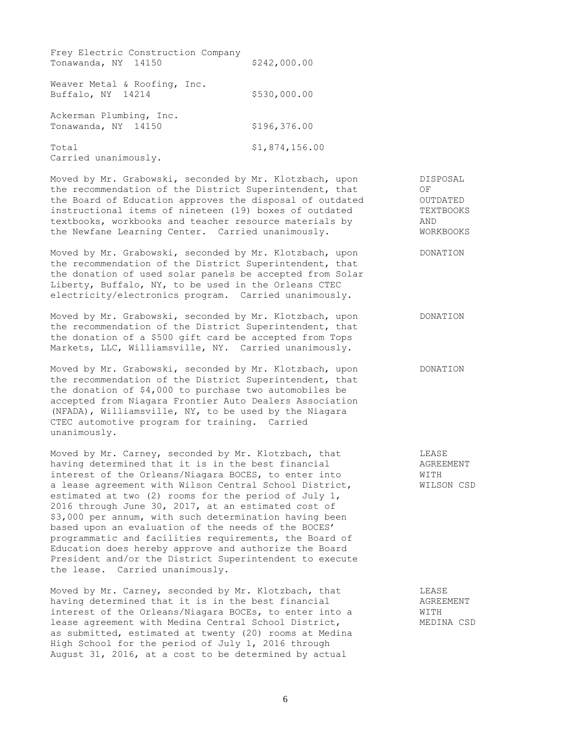| Frey Electric Construction Company<br>Tonawanda, NY 14150 | \$242,000.00   |
|-----------------------------------------------------------|----------------|
| Weaver Metal & Roofing, Inc.<br>Buffalo, NY 14214         | \$530,000.00   |
| Ackerman Plumbing, Inc.<br>Tonawanda, NY 14150            | \$196,376.00   |
| Total<br>Carried unanimously.                             | \$1,874,156.00 |

Moved by Mr. Grabowski, seconded by Mr. Klotzbach, upon DISPOSAL the recommendation of the District Superintendent, that OF the Board of Education approves the disposal of outdated OUTDATED instructional items of nineteen (19) boxes of outdated TEXTBOOKS textbooks, workbooks and teacher resource materials by AND the Newfane Learning Center. Carried unanimously. WORKBOOKS

Moved by Mr. Grabowski, seconded by Mr. Klotzbach, upon DONATION the recommendation of the District Superintendent, that the donation of used solar panels be accepted from Solar Liberty, Buffalo, NY, to be used in the Orleans CTEC electricity/electronics program. Carried unanimously.

| Moved by Mr. Grabowski, seconded by Mr. Klotzbach, upon | DONATION |
|---------------------------------------------------------|----------|
| the recommendation of the District Superintendent, that |          |
| the donation of a \$500 gift card be accepted from Tops |          |
| Markets, LLC, Williamsville, NY. Carried unanimously.   |          |

Moved by Mr. Grabowski, seconded by Mr. Klotzbach, upon DONATION the recommendation of the District Superintendent, that the donation of \$4,000 to purchase two automobiles be accepted from Niagara Frontier Auto Dealers Association (NFADA), Williamsville, NY, to be used by the Niagara CTEC automotive program for training. Carried unanimously.

Moved by Mr. Carney, seconded by Mr. Klotzbach, that THEASE having determined that it is in the best financial  $\overline{A}$  AGREEMENT interest of the Orleans/Niagara BOCES, to enter into WITH a lease agreement with Wilson Central School District, WILSON CSD estimated at two (2) rooms for the period of July 1, 2016 through June 30, 2017, at an estimated cost of \$3,000 per annum, with such determination having been based upon an evaluation of the needs of the BOCES' programmatic and facilities requirements, the Board of Education does hereby approve and authorize the Board President and/or the District Superintendent to execute the lease. Carried unanimously.

Moved by Mr. Carney, seconded by Mr. Klotzbach, that LEASE LEASE<br>having determined that it is in the best financial AGREEMENT having determined that it is in the best financial interest of the Orleans/Niagara BOCEs, to enter into a WITH lease agreement with Medina Central School District, MEDINA CSD as submitted, estimated at twenty (20) rooms at Medina High School for the period of July 1, 2016 through August 31, 2016, at a cost to be determined by actual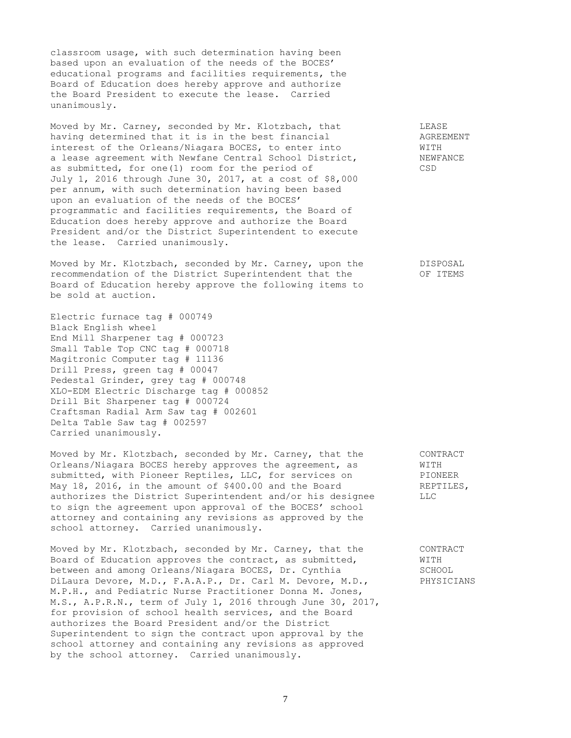classroom usage, with such determination having been based upon an evaluation of the needs of the BOCES' educational programs and facilities requirements, the Board of Education does hereby approve and authorize the Board President to execute the lease. Carried unanimously.

Moved by Mr. Carney, seconded by Mr. Klotzbach, that The LEASE having determined that it is in the best financial **AGREEMENT** interest of the Orleans/Niagara BOCES, to enter into WITH a lease agreement with Newfane Central School District, NEWFANCE as submitted, for one(1) room for the period of CSD July 1, 2016 through June 30, 2017, at a cost of \$8,000 per annum, with such determination having been based upon an evaluation of the needs of the BOCES' programmatic and facilities requirements, the Board of Education does hereby approve and authorize the Board President and/or the District Superintendent to execute the lease. Carried unanimously.

Moved by Mr. Klotzbach, seconded by Mr. Carney, upon the DISPOSAL recommendation of the District Superintendent that the OF ITEMS Board of Education hereby approve the following items to be sold at auction.

Electric furnace tag # 000749 Black English wheel End Mill Sharpener tag # 000723 Small Table Top CNC tag # 000718 Magitronic Computer tag # 11136 Drill Press, green tag # 00047 Pedestal Grinder, grey tag # 000748 XLO-EDM Electric Discharge tag # 000852 Drill Bit Sharpener tag # 000724 Craftsman Radial Arm Saw tag # 002601 Delta Table Saw tag # 002597 Carried unanimously.

Moved by Mr. Klotzbach, seconded by Mr. Carney, that the CONTRACT Orleans/Niagara BOCES hereby approves the agreement, as WITH submitted, with Pioneer Reptiles, LLC, for services on PIONEER<br>May 18, 2016, in the amount of \$400.00 and the Board REPTILES, May 18, 2016, in the amount of \$400.00 and the Board REP REPT<br>authorizes the District Superintendent and/or his designee LLC authorizes the District Superintendent and/or his designee to sign the agreement upon approval of the BOCES' school attorney and containing any revisions as approved by the school attorney. Carried unanimously.

Moved by Mr. Klotzbach, seconded by Mr. Carney, that the CONTRACT Board of Education approves the contract, as submitted, WITH between and among Orleans/Niagara BOCES, Dr. Cynthia SCHOOL DiLaura Devore, M.D., F.A.A.P., Dr. Carl M. Devore, M.D., PHYSICIANS M.P.H., and Pediatric Nurse Practitioner Donna M. Jones, M.S., A.P.R.N., term of July 1, 2016 through June 30, 2017, for provision of school health services, and the Board authorizes the Board President and/or the District Superintendent to sign the contract upon approval by the school attorney and containing any revisions as approved by the school attorney. Carried unanimously.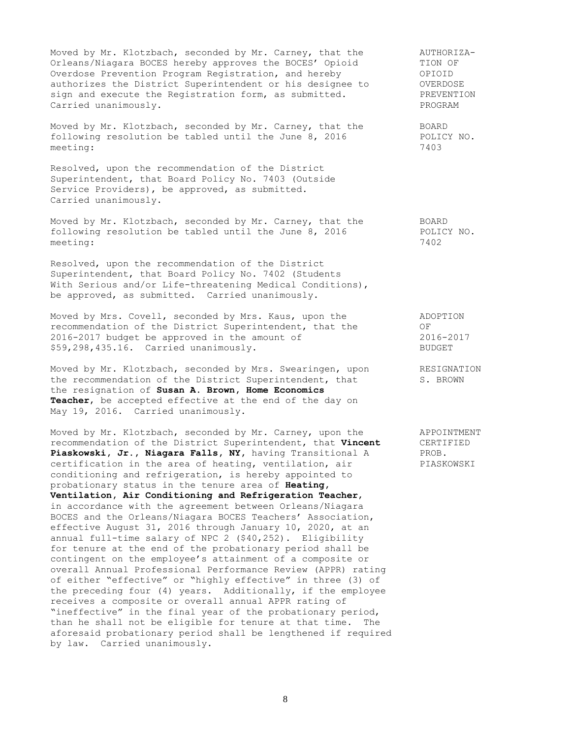Moved by Mr. Klotzbach, seconded by Mr. Carney, that the aUTHORIZA-<br>Orleans/Niagara BOCES hereby approves the BOCES' Opioid TION OF Orleans/Niagara BOCES hereby approves the BOCES' Opioid TION OF Overdose Prevention Program Registration, and hereby OPIOID authorizes the District Superintendent or his designee to OVERDOSE sign and execute the Registration form, as submitted. PREVENTION Carried unanimously. The contract of the contract of the contract of the contract of the contract of the contract of the contract of the contract of the contract of the contract of the contract of the contract of the contr

Moved by Mr. Klotzbach, seconded by Mr. Carney, that the BOARD following resolution be tabled until the June 8, 2016 POLICY NO. meeting: 7403

Resolved, upon the recommendation of the District Superintendent, that Board Policy No. 7403 (Outside Service Providers), be approved, as submitted. Carried unanimously.

Moved by Mr. Klotzbach, seconded by Mr. Carney, that the BOARD following resolution be tabled until the June 8, 2016 POLICY NO. meeting: 7402

Resolved, upon the recommendation of the District Superintendent, that Board Policy No. 7402 (Students With Serious and/or Life-threatening Medical Conditions), be approved, as submitted. Carried unanimously.

Moved by Mrs. Covell, seconded by Mrs. Kaus, upon the ADOPTION recommendation of the District Superintendent, that the OF 2016-2017 budget be approved in the amount of 2016-2017 \$59,298,435.16. Carried unanimously. BUDGET

Moved by Mr. Klotzbach, seconded by Mrs. Swearingen, upon RESIGNATION the recommendation of the District Superintendent, that S. BROWN the resignation of **Susan A. Brown, Home Economics Teacher**, be accepted effective at the end of the day on May 19, 2016. Carried unanimously.

Moved by Mr. Klotzbach, seconded by Mr. Carney, upon the APPOINTMENT recommendation of the District Superintendent, that **Vincent** CERTIFIED<br>**Piaskowski, Jr., Niagara Falls, NY,** having Transitional A PROB. Piaskowski, Jr., Niagara Falls, NY, having Transitional A certification in the area of heating, ventilation, air PIASKOWSKI conditioning and refrigeration, is hereby appointed to probationary status in the tenure area of **Heating, Ventilation, Air Conditioning and Refrigeration Teacher**, in accordance with the agreement between Orleans/Niagara BOCES and the Orleans/Niagara BOCES Teachers' Association, effective August 31, 2016 through January 10, 2020, at an annual full-time salary of NPC 2 (\$40,252). Eligibility for tenure at the end of the probationary period shall be contingent on the employee's attainment of a composite or overall Annual Professional Performance Review (APPR) rating of either "effective" or "highly effective" in three (3) of the preceding four (4) years. Additionally, if the employee receives a composite or overall annual APPR rating of "ineffective" in the final year of the probationary period, than he shall not be eligible for tenure at that time. The aforesaid probationary period shall be lengthened if required by law. Carried unanimously.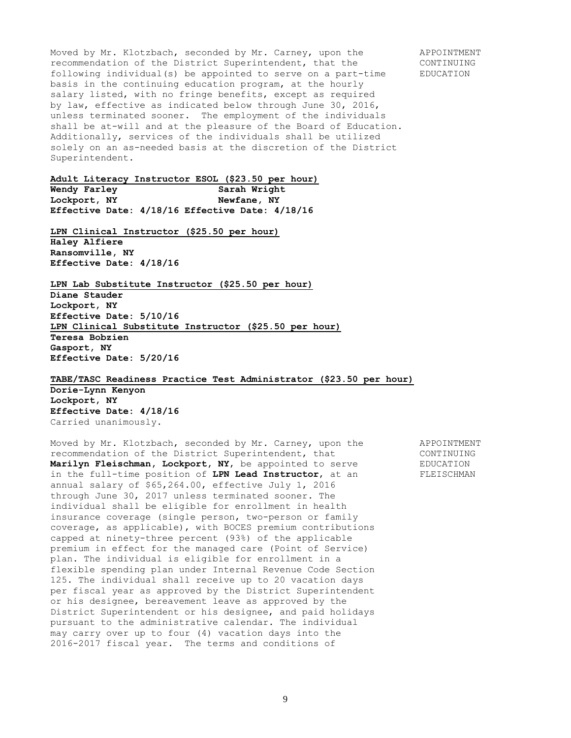Moved by Mr. Klotzbach, seconded by Mr. Carney, upon the APPOINTMENT recommendation of the District Superintendent, that the CONTINUING following individual(s) be appointed to serve on a part-time EDUCATION basis in the continuing education program, at the hourly salary listed, with no fringe benefits, except as required by law, effective as indicated below through June 30, 2016, unless terminated sooner. The employment of the individuals shall be at-will and at the pleasure of the Board of Education. Additionally, services of the individuals shall be utilized solely on an as-needed basis at the discretion of the District Superintendent.

**Adult Literacy Instructor ESOL (\$23.50 per hour)**

**Wendy Farley Sarah Wright Lockport, NY Newfane, NY Effective Date: 4/18/16 Effective Date: 4/18/16**

**LPN Clinical Instructor (\$25.50 per hour) Haley Alfiere Ransomville, NY Effective Date: 4/18/16**

**LPN Lab Substitute Instructor (\$25.50 per hour) Diane Stauder Lockport, NY Effective Date: 5/10/16 LPN Clinical Substitute Instructor (\$25.50 per hour) Teresa Bobzien Gasport, NY Effective Date: 5/20/16**

**TABE/TASC Readiness Practice Test Administrator (\$23.50 per hour)**

**Dorie-Lynn Kenyon Lockport, NY Effective Date: 4/18/16** Carried unanimously.

Moved by Mr. Klotzbach, seconded by Mr. Carney, upon the APPOINTMENT recommendation of the District Superintendent, that CONTINUING **Marilyn Fleischman, Lockport, NY,** be appointed to serve EDUCATION in the full-time position of **LPN Lead Instructor**, at an FLEISCHMAN annual salary of \$65,264.00, effective July 1, 2016 through June 30, 2017 unless terminated sooner. The individual shall be eligible for enrollment in health insurance coverage (single person, two-person or family coverage, as applicable), with BOCES premium contributions capped at ninety-three percent (93%) of the applicable premium in effect for the managed care (Point of Service) plan. The individual is eligible for enrollment in a flexible spending plan under Internal Revenue Code Section 125. The individual shall receive up to 20 vacation days per fiscal year as approved by the District Superintendent or his designee, bereavement leave as approved by the District Superintendent or his designee, and paid holidays pursuant to the administrative calendar. The individual may carry over up to four (4) vacation days into the 2016-2017 fiscal year. The terms and conditions of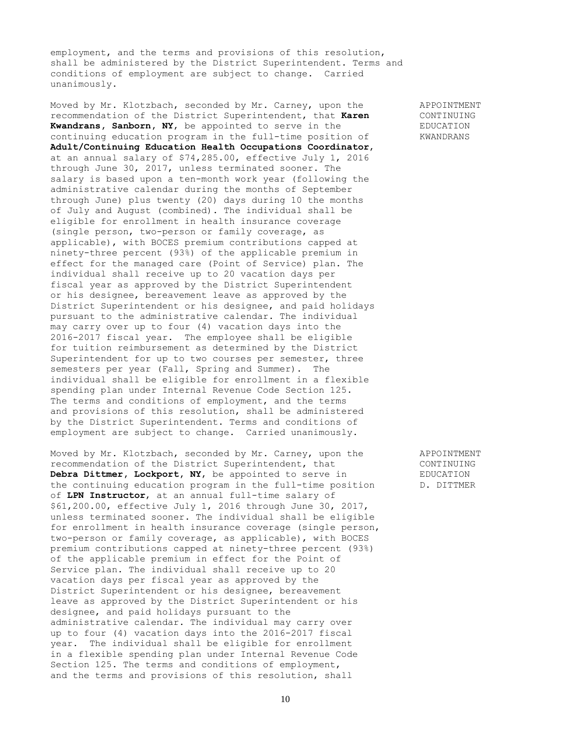employment, and the terms and provisions of this resolution, shall be administered by the District Superintendent. Terms and conditions of employment are subject to change. Carried unanimously.

Moved by Mr. Klotzbach, seconded by Mr. Carney, upon the APPOINTMENT recommendation of the District Superintendent, that **Karen** CONTINUING **Kwandrans, Sanborn, NY,** be appointed to serve in the EDUCATION continuing education program in the full-time position of KWANDRANS **Adult/Continuing Education Health Occupations Coordinator**, at an annual salary of \$74,285.00, effective July 1, 2016 through June 30, 2017, unless terminated sooner. The salary is based upon a ten-month work year (following the administrative calendar during the months of September through June) plus twenty (20) days during 10 the months of July and August (combined). The individual shall be eligible for enrollment in health insurance coverage (single person, two-person or family coverage, as applicable), with BOCES premium contributions capped at ninety-three percent (93%) of the applicable premium in effect for the managed care (Point of Service) plan. The individual shall receive up to 20 vacation days per fiscal year as approved by the District Superintendent or his designee, bereavement leave as approved by the District Superintendent or his designee, and paid holidays pursuant to the administrative calendar. The individual may carry over up to four (4) vacation days into the 2016-2017 fiscal year. The employee shall be eligible for tuition reimbursement as determined by the District Superintendent for up to two courses per semester, three semesters per year (Fall, Spring and Summer). The individual shall be eligible for enrollment in a flexible spending plan under Internal Revenue Code Section 125. The terms and conditions of employment, and the terms and provisions of this resolution, shall be administered by the District Superintendent. Terms and conditions of employment are subject to change. Carried unanimously.

Moved by Mr. Klotzbach, seconded by Mr. Carney, upon the APPOINTMENT recommendation of the District Superintendent, that CONTINUING **Debra Dittmer, Lockport, NY,** be appointed to serve in EDUCATION the continuing education program in the full-time position D. DITTMER of **LPN Instructor**, at an annual full-time salary of \$61,200.00, effective July 1, 2016 through June 30, 2017, unless terminated sooner. The individual shall be eligible for enrollment in health insurance coverage (single person, two-person or family coverage, as applicable), with BOCES premium contributions capped at ninety-three percent (93%) of the applicable premium in effect for the Point of Service plan. The individual shall receive up to 20 vacation days per fiscal year as approved by the District Superintendent or his designee, bereavement leave as approved by the District Superintendent or his designee, and paid holidays pursuant to the administrative calendar. The individual may carry over up to four (4) vacation days into the 2016-2017 fiscal year. The individual shall be eligible for enrollment in a flexible spending plan under Internal Revenue Code Section 125. The terms and conditions of employment, and the terms and provisions of this resolution, shall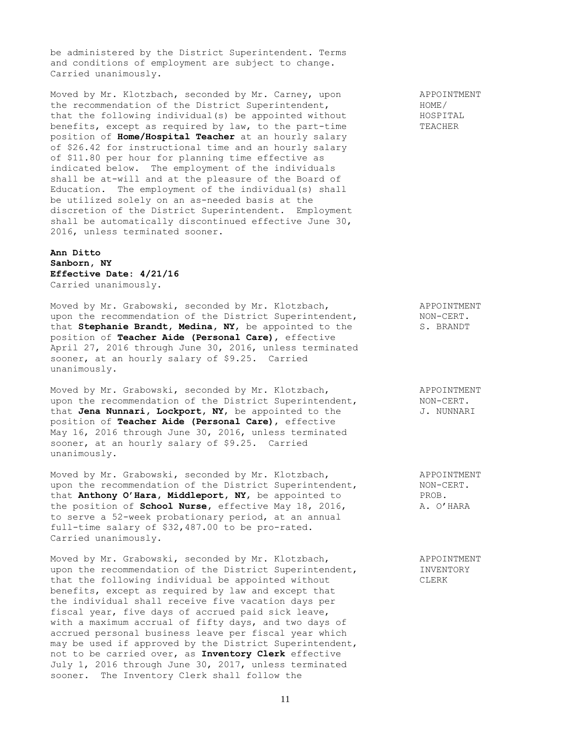be administered by the District Superintendent. Terms and conditions of employment are subject to change. Carried unanimously.

Moved by Mr. Klotzbach, seconded by Mr. Carney, upon and APPOINTMENT<br>the recommendation of the District Superintendent, and MOME/ the recommendation of the District Superintendent, that the following individual(s) be appointed without **HOSPITAL** benefits, except as required by law, to the part-time TEACHER position of **Home/Hospital Teacher** at an hourly salary of \$26.42 for instructional time and an hourly salary of \$11.80 per hour for planning time effective as indicated below. The employment of the individuals shall be at-will and at the pleasure of the Board of Education. The employment of the individual(s) shall be utilized solely on an as-needed basis at the discretion of the District Superintendent. Employment shall be automatically discontinued effective June 30, 2016, unless terminated sooner.

### **Ann Ditto Sanborn, NY Effective Date: 4/21/16** Carried unanimously.

Moved by Mr. Grabowski, seconded by Mr. Klotzbach, APPOINTMENT upon the recommendation of the District Superintendent, NON-CERT. upon the recommendation of the District Superintendent, The Stephanie Brandt, Medina, NY, be appointed to the S. BRANDT position of **Teacher Aide (Personal Care)**, effective April 27, 2016 through June 30, 2016, unless terminated sooner, at an hourly salary of \$9.25. Carried unanimously.

Moved by Mr. Grabowski, seconded by Mr. Klotzbach, APPOINTMENT upon the recommendation of the District Superintendent, NON-CERT. that Jena Nunnari, Lockport, NY, be appointed to the  $J$ . NUNNARI position of **Teacher Aide (Personal Care)**, effective May 16, 2016 through June 30, 2016, unless terminated sooner, at an hourly salary of \$9.25. Carried unanimously.

Moved by Mr. Grabowski, seconded by Mr. Klotzbach, APPOINTMENT upon the recommendation of the District Superintendent, NON-CERT.<br>that **Anthony O'Hara, Middleport, NY,** be appointed to PROB. that **Anthony O'Hara, Middleport, NY**, be appointed to PROB.<br>the position of **School Nurse**, effective May 18, 2016, A. O'HARA the position of **School Nurse**, effective May 18, 2016, to serve a 52-week probationary period, at an annual full-time salary of \$32,487.00 to be pro-rated. Carried unanimously.

Moved by Mr. Grabowski, seconded by Mr. Klotzbach, APPOINTMENT upon the recommendation of the District Superintendent, **INVENTORY** that the following individual be appointed without CLERK benefits, except as required by law and except that the individual shall receive five vacation days per fiscal year, five days of accrued paid sick leave, with a maximum accrual of fifty days, and two days of accrued personal business leave per fiscal year which may be used if approved by the District Superintendent, not to be carried over, as **Inventory Clerk** effective July 1, 2016 through June 30, 2017, unless terminated sooner. The Inventory Clerk shall follow the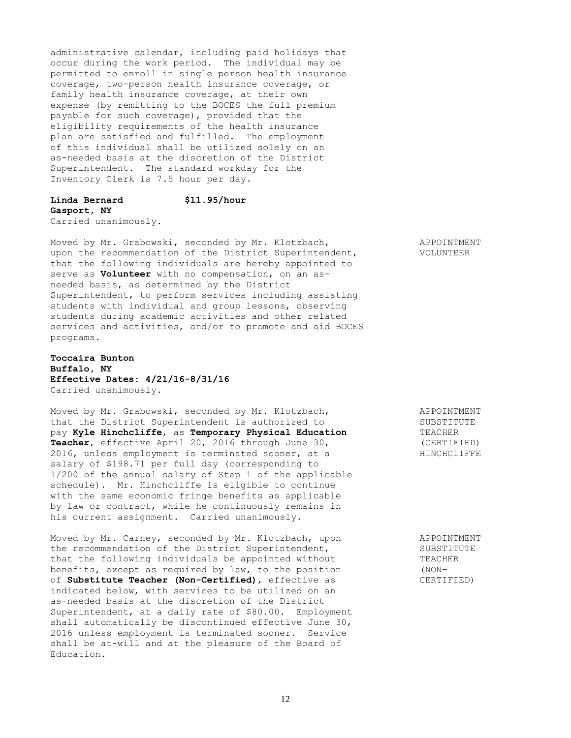administrative calendar, including paid holidays that occur during the work period. The individual may be permitted to enroll in single person health insurance coverage, two-person health insurance coverage, or family health insurance coverage, at their own expense (by remitting to the BOCES the full premium payable for such coverage), provided that the eligibility requirements of the health insurance plan are satisfied and fulfilled. The employment of this individual shall be utilized solely on an as-needed basis at the discretion of the District Superintendent. The standard workday for the Inventory Clerk is 7.5 hour per day.

# **Linda Bernard \$11.95/hour Gasport, NY**

Carried unanimously.

Moved by Mr. Grabowski, seconded by Mr. Klotzbach, APPOINTMENT upon the recommendation of the District Superintendent, VOLUNTEER that the following individuals are hereby appointed to serve as **Volunteer** with no compensation, on an asneeded basis, as determined by the District Superintendent, to perform services including assisting students with individual and group lessons, observing students during academic activities and other related services and activities, and/or to promote and aid BOCES programs.

# **Toccaira Bunton Buffalo, NY Effective Dates: 4/21/16-8/31/16** Carried unanimously.

Moved by Mr. Grabowski, seconded by Mr. Klotzbach, APPOINTMENT that the District Superintendent is authorized to SUBSTITUTE<br>pay Kyle Hinchcliffe, as Temporary Physical Education TEACHER pay **Kyle Hinchcliffe,** as **Temporary Physical Education** TEACHER Teacher, effective April 20, 2016 through June 30, Teacher, effective April 20, 2016 through June 30, 2016, unless employment is terminated sooner, at a HINCHCLIFFE salary of \$198.71 per full day (corresponding to 1/200 of the annual salary of Step 1 of the applicable schedule). Mr. Hinchcliffe is eligible to continue with the same economic fringe benefits as applicable by law or contract, while he continuously remains in his current assignment. Carried unanimously.

Moved by Mr. Carney, seconded by Mr. Klotzbach, upon APPOINTMENT the recommendation of the District Superintendent, SUBSTITUTE that the following individuals be appointed without TEACHER benefits, except as required by law, to the position (NON-<br>of **Substitute Teacher (Non-Certified)**, effective as (CERTIFIED) of **Substitute Teacher (Non-Certified)**, effective as indicated below, with services to be utilized on an as-needed basis at the discretion of the District Superintendent, at a daily rate of \$80.00. Employment shall automatically be discontinued effective June 30, 2016 unless employment is terminated sooner. Service shall be at-will and at the pleasure of the Board of Education.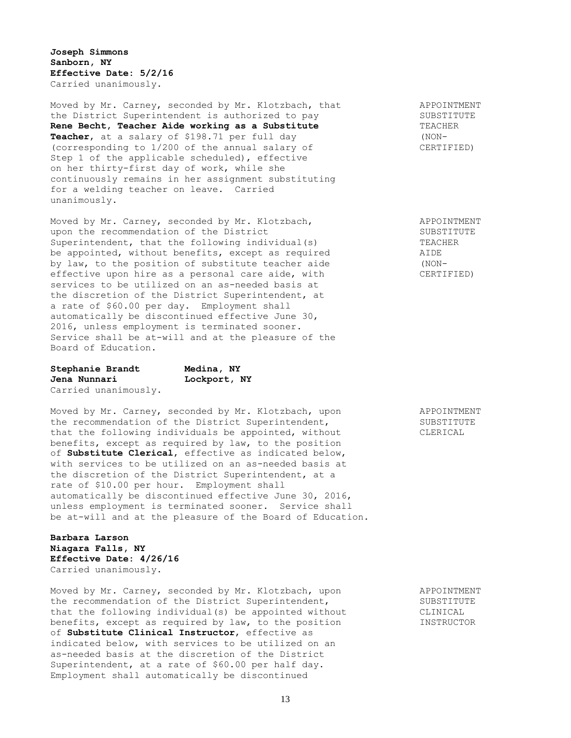**Joseph Simmons Sanborn, NY Effective Date: 5/2/16** Carried unanimously.

Moved by Mr. Carney, seconded by Mr. Klotzbach, that APPOINTMENT the District Superintendent is authorized to pay SUBSTITUTE **Rene Becht, Teacher Aide working as a Substitute TEACHER Teacher**, at a salary of \$198.71 per full day (NON- (corresponding to  $1/200$  of the annual salary of CERTIFIED) Step 1 of the applicable scheduled), effective on her thirty-first day of work, while she continuously remains in her assignment substituting for a welding teacher on leave. Carried unanimously.

Moved by Mr. Carney, seconded by Mr. Klotzbach, APPOINTMENT upon the recommendation of the District SUBSTITUTE Superintendent, that the following individual(s) TEACHER be appointed, without benefits, except as required AIDE by law, to the position of substitute teacher aide (NONeffective upon hire as a personal care aide, with CERTIFIED) services to be utilized on an as-needed basis at the discretion of the District Superintendent, at a rate of \$60.00 per day. Employment shall automatically be discontinued effective June 30, 2016, unless employment is terminated sooner. Service shall be at-will and at the pleasure of the Board of Education.

| Stephanie Brandt     | Medina, NY   |
|----------------------|--------------|
| Jena Nunnari         | Lockport, NY |
| Carried unanimously. |              |

Moved by Mr. Carney, seconded by Mr. Klotzbach, upon APPOINTMENT the recommendation of the District Superintendent, SUBSTITUTE that the following individuals be appointed, without CLERICAL benefits, except as required by law, to the position of **Substitute Clerical**, effective as indicated below, with services to be utilized on an as-needed basis at the discretion of the District Superintendent, at a rate of \$10.00 per hour. Employment shall automatically be discontinued effective June 30, 2016, unless employment is terminated sooner. Service shall be at-will and at the pleasure of the Board of Education.

**Barbara Larson Niagara Falls, NY Effective Date: 4/26/16** Carried unanimously.

Moved by Mr. Carney, seconded by Mr. Klotzbach, upon and APPOINTMENT<br>the recommendation of the District Superintendent. the recommendation of the District Superintendent, that the following individual(s) be appointed without CLINICAL benefits, except as required by law, to the position **INSTRUCTOR** of **Substitute Clinical Instructor**, effective as indicated below, with services to be utilized on an as-needed basis at the discretion of the District Superintendent, at a rate of \$60.00 per half day. Employment shall automatically be discontinued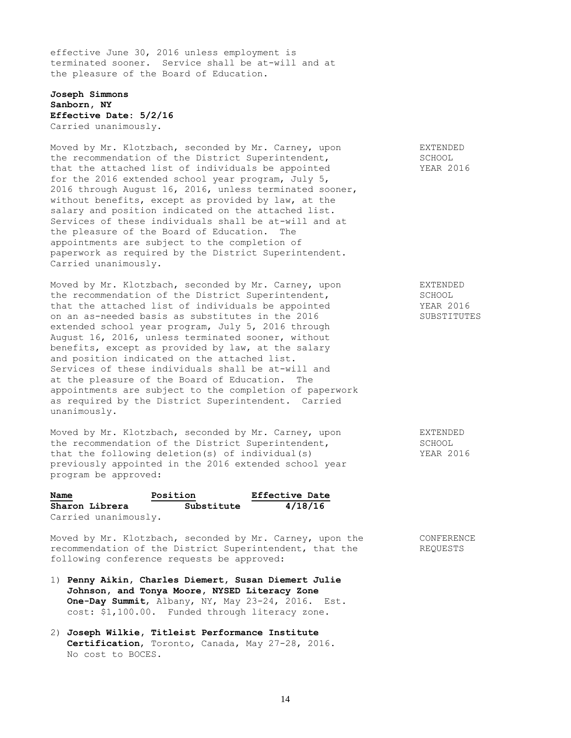effective June 30, 2016 unless employment is terminated sooner. Service shall be at-will and at the pleasure of the Board of Education.

# **Joseph Simmons Sanborn, NY Effective Date: 5/2/16** Carried unanimously.

Moved by Mr. Klotzbach, seconded by Mr. Carney, upon EXTENDED the recommendation of the District Superintendent, SCHOOL that the attached list of individuals be appointed YEAR 2016 for the 2016 extended school year program, July 5, 2016 through August 16, 2016, unless terminated sooner, without benefits, except as provided by law, at the salary and position indicated on the attached list. Services of these individuals shall be at-will and at the pleasure of the Board of Education. The appointments are subject to the completion of paperwork as required by the District Superintendent. Carried unanimously.

Moved by Mr. Klotzbach, seconded by Mr. Carney, upon EXTENDED the recommendation of the District Superintendent, SCHOOL that the attached list of individuals be appointed YEAR 2016 on an as-needed basis as substitutes in the 2016 SUBSTITUTES extended school year program, July 5, 2016 through August 16, 2016, unless terminated sooner, without benefits, except as provided by law, at the salary and position indicated on the attached list. Services of these individuals shall be at-will and at the pleasure of the Board of Education. The appointments are subject to the completion of paperwork as required by the District Superintendent. Carried unanimously.

Moved by Mr. Klotzbach, seconded by Mr. Carney, upon EXTENDED<br>
the recommendation of the District Superintendent, SCHOOL the recommendation of the District Superintendent, that the following deletion(s) of individual(s) YEAR 2016 previously appointed in the 2016 extended school year program be approved:

| Name<br>Position     |            | <b>Effective Date</b> |  |
|----------------------|------------|-----------------------|--|
| Sharon Librera       | Substitute | 4/18/16               |  |
| Carried unanimously. |            |                       |  |

Moved by Mr. Klotzbach, seconded by Mr. Carney, upon the CONFERENCE recommendation of the District Superintendent, that the REQUESTS following conference requests be approved:

- 1) **Penny Aikin, Charles Diemert, Susan Diemert Julie Johnson, and Tonya Moore, NYSED Literacy Zone One-Day Summit**, Albany, NY, May 23-24, 2016. Est. cost: \$1,100.00. Funded through literacy zone.
- 2) **Joseph Wilkie, Titleist Performance Institute Certification**, Toronto, Canada, May 27-28, 2016. No cost to BOCES.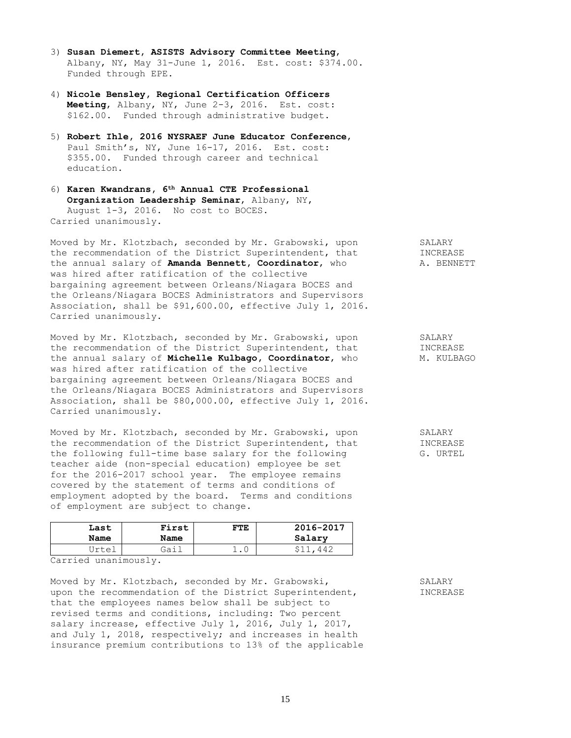- 3) **Susan Diemert, ASISTS Advisory Committee Meeting**, Albany, NY, May 31-June 1, 2016. Est. cost: \$374.00. Funded through EPE.
- 4) **Nicole Bensley, Regional Certification Officers Meeting**, Albany, NY, June 2-3, 2016. Est. cost: \$162.00. Funded through administrative budget.
- 5) **Robert Ihle, 2016 NYSRAEF June Educator Conference**, Paul Smith's, NY, June 16-17, 2016. Est. cost: \$355.00. Funded through career and technical education.
- 6) **Karen Kwandrans, 6th Annual CTE Professional Organization Leadership Seminar**, Albany, NY, August 1-3, 2016. No cost to BOCES. Carried unanimously.

Moved by Mr. Klotzbach, seconded by Mr. Grabowski, upon SALARY Moved by Mr. Alotzbach, seconded by  $H$ . Singlessing, that INCREASE<br>the recommendation of the District Superintendent, that  $\overline{A}$ the annual salary of **Amanda Bennett, Coordinator,** who A. BENNETT was hired after ratification of the collective bargaining agreement between Orleans/Niagara BOCES and the Orleans/Niagara BOCES Administrators and Supervisors Association, shall be \$91,600.00, effective July 1, 2016. Carried unanimously.

Moved by Mr. Klotzbach, seconded by Mr. Grabowski, upon SALARY the recommendation of the District Superintendent, that INCREASE the recommendation of the District Superintendent, that **MICREASE**<br>the annual salary of **Michelle Kulbago, Coordinator**, who M. KULBAGO was hired after ratification of the collective bargaining agreement between Orleans/Niagara BOCES and the Orleans/Niagara BOCES Administrators and Supervisors Association, shall be \$80,000.00, effective July 1, 2016. Carried unanimously.

Moved by Mr. Klotzbach, seconded by Mr. Grabowski, upon SALARY the recommendation of the District Superintendent, that INCREASE the following full-time base salary for the following G. URTEL teacher aide (non-special education) employee be set for the 2016-2017 school year. The employee remains covered by the statement of terms and conditions of employment adopted by the board. Terms and conditions of employment are subject to change.

| Last         | First | FTE        | 2016-2017 |
|--------------|-------|------------|-----------|
| Name         | Name  |            | Salary    |
| <b>Trtei</b> | Gai.  | <b>ـ ـ</b> | 442       |

Carried unanimously.

Moved by Mr. Klotzbach, seconded by Mr. Grabowski, SALARY upon the recommendation of the District Superintendent, **INCREASE** that the employees names below shall be subject to revised terms and conditions, including: Two percent salary increase, effective July 1, 2016, July 1, 2017, and July 1, 2018, respectively; and increases in health insurance premium contributions to 13% of the applicable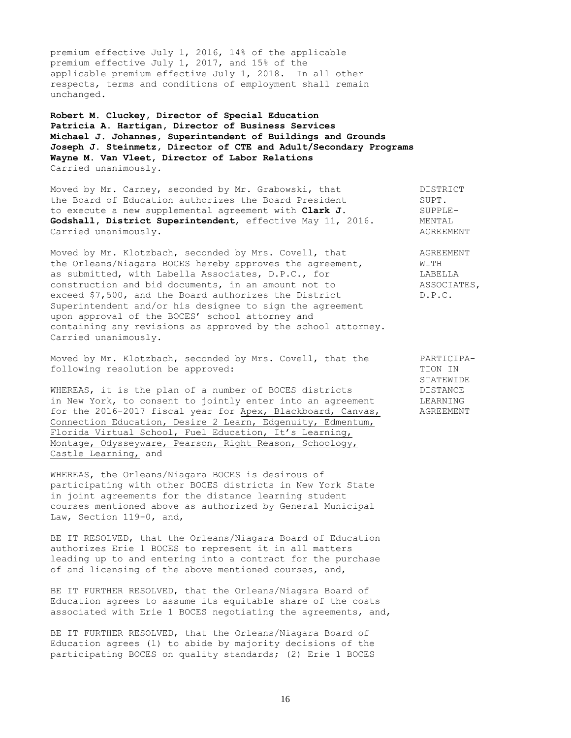premium effective July 1, 2016, 14% of the applicable premium effective July 1, 2017, and 15% of the applicable premium effective July 1, 2018. In all other respects, terms and conditions of employment shall remain unchanged.

**Robert M. Cluckey, Director of Special Education Patricia A. Hartigan, Director of Business Services Michael J. Johannes, Superintendent of Buildings and Grounds Joseph J. Steinmetz, Director of CTE and Adult/Secondary Programs Wayne M. Van Vleet, Director of Labor Relations** Carried unanimously.

Moved by Mr. Carney, seconded by Mr. Grabowski, that DISTRICT the Board of Education authorizes the Board President SUPT. to execute a new supplemental agreement with **Clark J.** SUPPLE-<br> **Godshall, District Superintendent,** effective May 11, 2016. MENTAL Godshall, District Superintendent, effective May 11, 2016. Carried unanimously. The contract of the contract of the contract of the contract of the contract of the contract of the contract of the contract of the contract of the contract of the contract of the contract of the contr

Moved by Mr. Klotzbach, seconded by Mrs. Covell, that AGREEMENT the Orleans/Niagara BOCES hereby approves the agreement, WITH as submitted, with Labella Associates, D.P.C., for LABELLA construction and bid documents, in an amount not to  $\sim$  ASSOCIATES, exceed \$7,500, and the Board authorizes the District D.P.C. Superintendent and/or his designee to sign the agreement upon approval of the BOCES' school attorney and containing any revisions as approved by the school attorney. Carried unanimously.

Moved by Mr. Klotzbach, seconded by Mrs. Covell, that the PARTICIPAfollowing resolution be approved: TION IN

WHEREAS, it is the plan of a number of BOCES districts in New York, to consent to jointly enter into an agreement LEARNING for the 2016-2017 fiscal year for Apex, Blackboard, Canvas, AGREEMENT Connection Education, Desire 2 Learn, Edgenuity, Edmentum, Florida Virtual School, Fuel Education, It's Learning, Montage, Odysseyware, Pearson, Right Reason, Schoology, Castle Learning, and

WHEREAS, the Orleans/Niagara BOCES is desirous of participating with other BOCES districts in New York State in joint agreements for the distance learning student courses mentioned above as authorized by General Municipal Law, Section 119-0, and,

BE IT RESOLVED, that the Orleans/Niagara Board of Education authorizes Erie 1 BOCES to represent it in all matters leading up to and entering into a contract for the purchase of and licensing of the above mentioned courses, and,

BE IT FURTHER RESOLVED, that the Orleans/Niagara Board of Education agrees to assume its equitable share of the costs associated with Erie 1 BOCES negotiating the agreements, and,

BE IT FURTHER RESOLVED, that the Orleans/Niagara Board of Education agrees (1) to abide by majority decisions of the participating BOCES on quality standards; (2) Erie 1 BOCES STATEWIDE<br>DISTANCE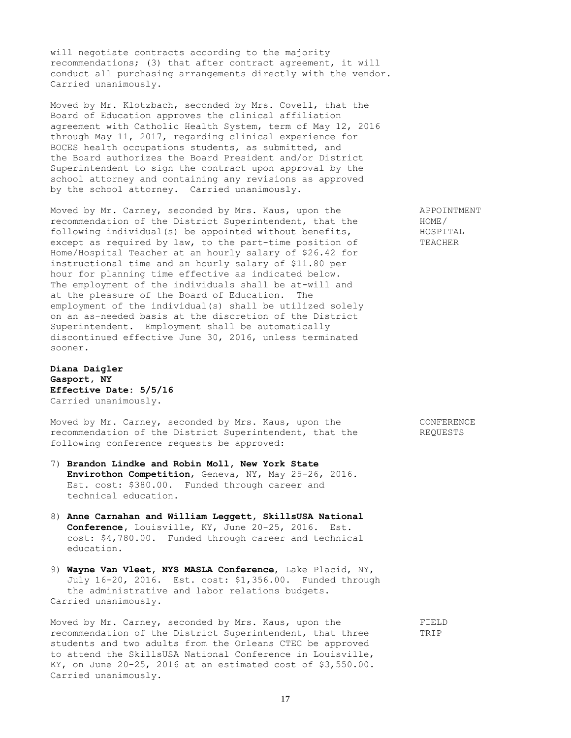will negotiate contracts according to the majority recommendations; (3) that after contract agreement, it will conduct all purchasing arrangements directly with the vendor. Carried unanimously.

Moved by Mr. Klotzbach, seconded by Mrs. Covell, that the Board of Education approves the clinical affiliation agreement with Catholic Health System, term of May 12, 2016 through May 11, 2017, regarding clinical experience for BOCES health occupations students, as submitted, and the Board authorizes the Board President and/or District Superintendent to sign the contract upon approval by the school attorney and containing any revisions as approved by the school attorney. Carried unanimously.

Moved by Mr. Carney, seconded by Mrs. Kaus, upon the APPOINTMENT recommendation of the District Superintendent, that the HOME/ following individual(s) be appointed without benefits, HOSPITAL except as required by law, to the part-time position of TEACHER Home/Hospital Teacher at an hourly salary of \$26.42 for instructional time and an hourly salary of \$11.80 per hour for planning time effective as indicated below. The employment of the individuals shall be at-will and at the pleasure of the Board of Education. The employment of the individual(s) shall be utilized solely on an as-needed basis at the discretion of the District Superintendent. Employment shall be automatically discontinued effective June 30, 2016, unless terminated sooner.

**Diana Daigler Gasport, NY Effective Date: 5/5/16** Carried unanimously.

Moved by Mr. Carney, seconded by Mrs. Kaus, upon the CONFERENCE recommendation of the District Superintendent, that the REQUESTS following conference requests be approved:

- 7) **Brandon Lindke and Robin Moll, New York State Envirothon Competition**, Geneva, NY, May 25-26, 2016. Est. cost: \$380.00. Funded through career and technical education.
- 8) **Anne Carnahan and William Leggett, SkillsUSA National Conference,** Louisville, KY, June 20-25, 2016. Est. cost: \$4,780.00. Funded through career and technical education.
- 9) **Wayne Van Vleet, NYS MASLA Conference**, Lake Placid, NY, July 16-20, 2016. Est. cost: \$1,356.00. Funded through the administrative and labor relations budgets. Carried unanimously.

Moved by Mr. Carney, seconded by Mrs. Kaus, upon the FIELD recommendation of the District Superintendent, that three TRIP students and two adults from the Orleans CTEC be approved to attend the SkillsUSA National Conference in Louisville, KY, on June 20-25, 2016 at an estimated cost of \$3,550.00. Carried unanimously.